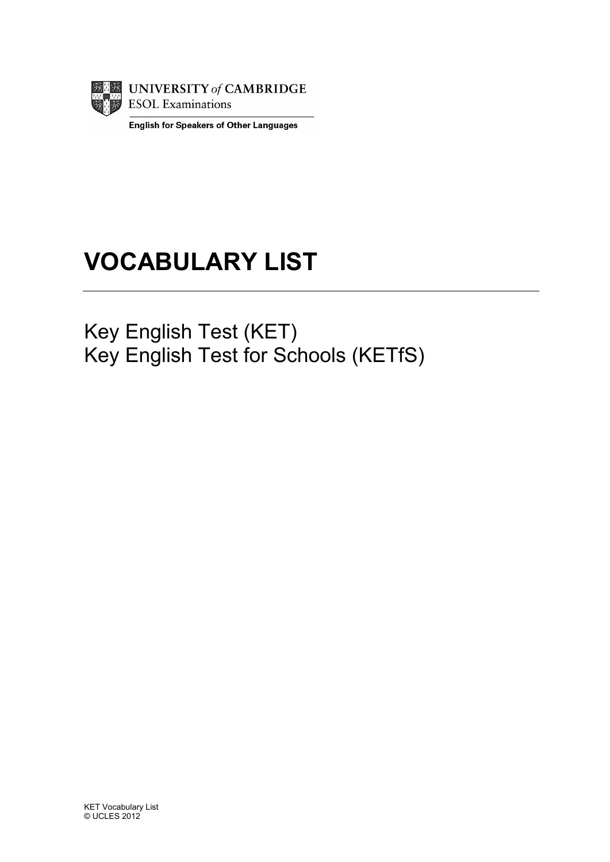

**English for Speakers of Other Languages** 

# **VOCABULARY LIST**

Key English Test (KET) Key English Test for Schools (KETfS)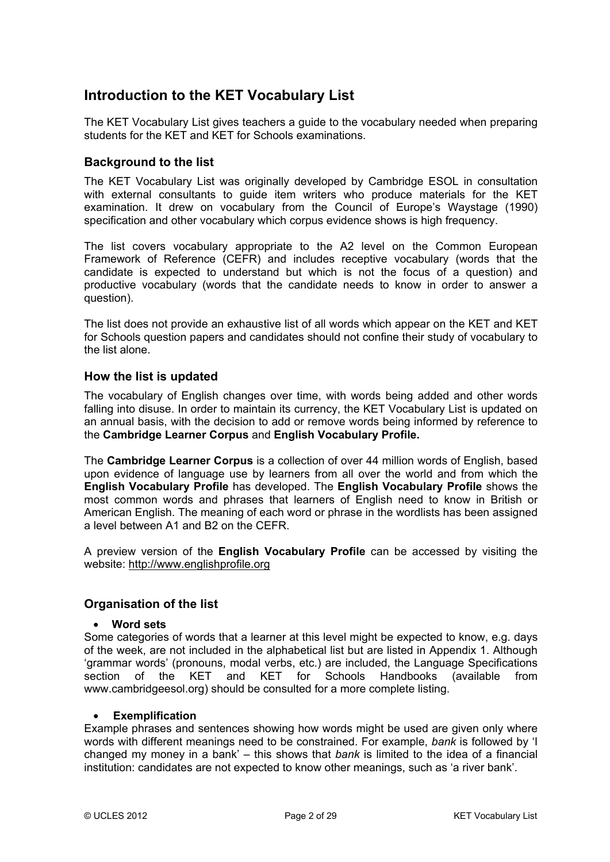#### **Introduction to the KET Vocabulary List**

The KET Vocabulary List gives teachers a guide to the vocabulary needed when preparing students for the KET and KET for Schools examinations.

#### **Background to the list**

The KET Vocabulary List was originally developed by Cambridge ESOL in consultation with external consultants to guide item writers who produce materials for the KET examination. It drew on vocabulary from the Council of Europe's Waystage (1990) specification and other vocabulary which corpus evidence shows is high frequency.

The list covers vocabulary appropriate to the A2 level on the Common European Framework of Reference (CEFR) and includes receptive vocabulary (words that the candidate is expected to understand but which is not the focus of a question) and productive vocabulary (words that the candidate needs to know in order to answer a question).

The list does not provide an exhaustive list of all words which appear on the KET and KET for Schools question papers and candidates should not confine their study of vocabulary to the list alone.

#### **How the list is updated**

The vocabulary of English changes over time, with words being added and other words falling into disuse. In order to maintain its currency, the KET Vocabulary List is updated on an annual basis, with the decision to add or remove words being informed by reference to the **Cambridge Learner Corpus** and **English Vocabulary Profile.** 

The **Cambridge Learner Corpus** is a collection of over 44 million words of English, based upon evidence of language use by learners from all over the world and from which the **English Vocabulary Profile** has developed. The **English Vocabulary Profile** shows the most common words and phrases that learners of English need to know in British or American English. The meaning of each word or phrase in the wordlists has been assigned a level between A1 and B2 on the CEFR.

A preview version of the **English Vocabulary Profile** can be accessed by visiting the website: http://www.englishprofile.org

#### **Organisation of the list**

#### • **Word sets**

Some categories of words that a learner at this level might be expected to know, e.g. days of the week, are not included in the alphabetical list but are listed in Appendix 1. Although 'grammar words' (pronouns, modal verbs, etc.) are included, the Language Specifications section of the KET and KET for Schools Handbooks (available from www.cambridgeesol.org) should be consulted for a more complete listing.

#### • **Exemplification**

Example phrases and sentences showing how words might be used are given only where words with different meanings need to be constrained. For example, *bank* is followed by 'I changed my money in a bank' – this shows that *bank* is limited to the idea of a financial institution: candidates are not expected to know other meanings, such as 'a river bank'.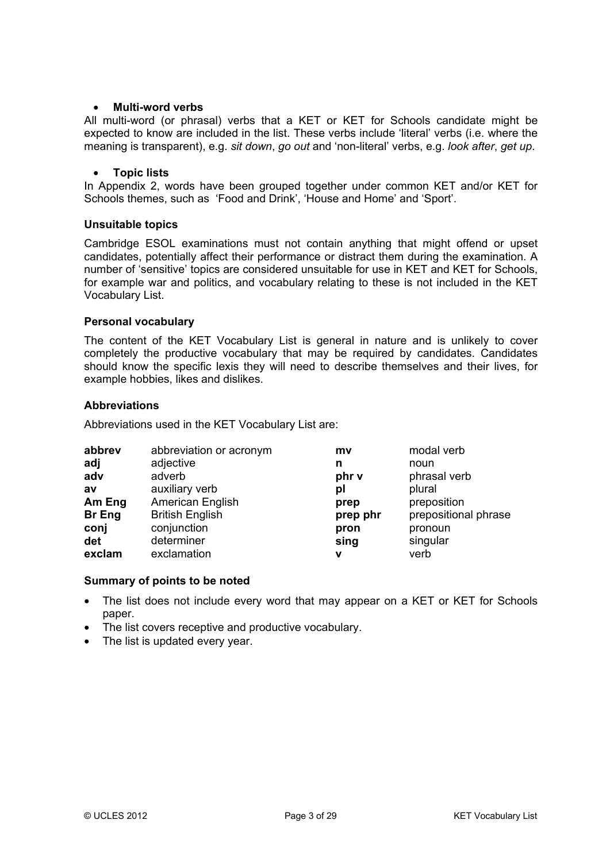#### • **Multi-word verbs**

All multi-word (or phrasal) verbs that a KET or KET for Schools candidate might be expected to know are included in the list. These verbs include 'literal' verbs (i.e. where the meaning is transparent), e.g. *sit down*, *go out* and 'non-literal' verbs, e.g. *look after*, *get up*.

#### • **Topic lists**

In Appendix 2, words have been grouped together under common KET and/or KET for Schools themes, such as 'Food and Drink', 'House and Home' and 'Sport'.

#### **Unsuitable topics**

Cambridge ESOL examinations must not contain anything that might offend or upset candidates, potentially affect their performance or distract them during the examination. A number of 'sensitive' topics are considered unsuitable for use in KET and KET for Schools, for example war and politics, and vocabulary relating to these is not included in the KET Vocabulary List.

#### **Personal vocabulary**

The content of the KET Vocabulary List is general in nature and is unlikely to cover completely the productive vocabulary that may be required by candidates. Candidates should know the specific lexis they will need to describe themselves and their lives, for example hobbies, likes and dislikes.

#### **Abbreviations**

Abbreviations used in the KET Vocabulary List are:

| abbrev | abbreviation or acronym | mv       | modal verb           |
|--------|-------------------------|----------|----------------------|
| adj    | adjective               | n        | noun                 |
| adv    | adverb                  | phr v    | phrasal verb         |
| av     | auxiliary verb          | pl       | plural               |
| Am Eng | American English        | prep     | preposition          |
| Br Eng | <b>British English</b>  | prep phr | prepositional phrase |
| conj   | conjunction             | pron     | pronoun              |
| det    | determiner              | sing     | singular             |
| exclam | exclamation             | v        | verb                 |

#### **Summary of points to be noted**

- The list does not include every word that may appear on a KET or KET for Schools paper.
- The list covers receptive and productive vocabulary.
- The list is updated every year.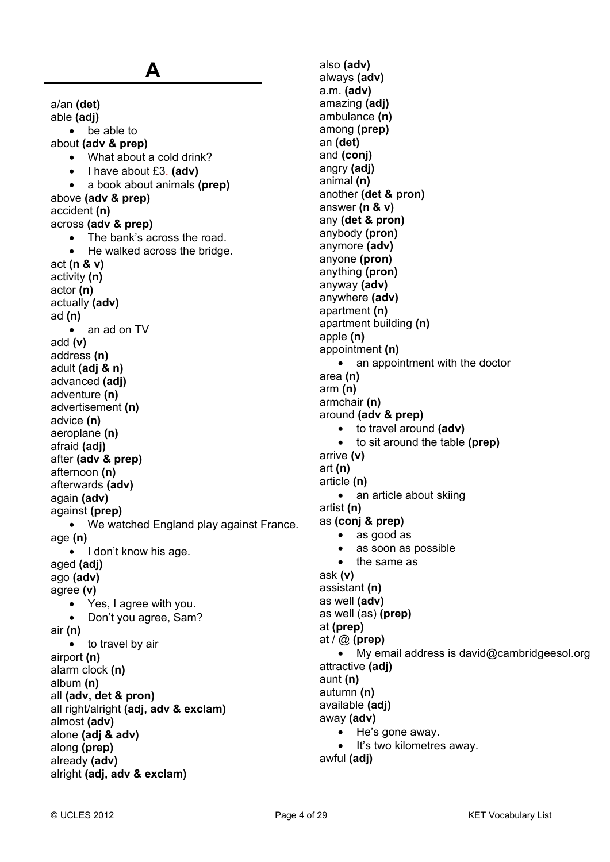## **A**

a/an **(det)**  able **(adj)**  • be able to about **(adv & prep)**  • What about a cold drink? • I have about £3. **(adv)** • a book about animals **(prep)** above **(adv & prep)**  accident **(n)** across **(adv & prep)**  • The bank's across the road. • He walked across the bridge. act **(n & v)**  activity **(n)** actor **(n)**  actually **(adv)**  ad **(n)**  • an ad on TV add **(v)** address **(n)**  adult **(adj & n)**  advanced **(adj)**  adventure **(n)**  advertisement **(n)**  advice **(n)** aeroplane **(n)** afraid **(adj)**  after **(adv & prep)**  afternoon **(n)**  afterwards **(adv)**  again **(adv)**  against **(prep)**  • We watched England play against France. age **(n)**  • I don't know his age. aged **(adj)** ago **(adv)**  agree **(v)**  • Yes, I agree with you. • Don't you agree, Sam? air **(n)**  • to travel by air airport **(n)**  alarm clock **(n)**  album **(n)** all **(adv, det & pron)**  all right/alright **(adj, adv & exclam)**  almost **(adv)**  alone **(adj & adv)**  along **(prep)** already **(adv)**  alright **(adj, adv & exclam)**

also **(adv)**  always **(adv)** a.m. **(adv)**  amazing **(adj)** ambulance **(n)**  among **(prep)**  an **(det)** and **(conj)**  angry **(adj)**  animal **(n)**  another **(det & pron)**  answer **(n & v)** any **(det & pron)**  anybody **(pron)**  anymore **(adv)** anyone **(pron)**  anything **(pron)**  anyway **(adv)** anywhere **(adv)**  apartment **(n)**  apartment building **(n)**  apple **(n)**  appointment **(n)**  • an appointment with the doctor area **(n)**  arm **(n)**  armchair **(n)** around **(adv & prep)**  • to travel around **(adv)** • to sit around the table **(prep)** arrive **(v)** art **(n)**  article **(n)**  • an article about skiing artist **(n)**  as **(conj & prep)**  • as good as • as soon as possible • the same as ask **(v)**  assistant **(n)** as well **(adv)** as well (as) **(prep)**  at **(prep)**  at / @ **(prep)**  • My email address is david@cambridgeesol.org attractive **(adj)** aunt **(n)**  autumn **(n)**  available **(adj)**  away **(adv)**  • He's gone away. It's two kilometres away. awful **(adj)**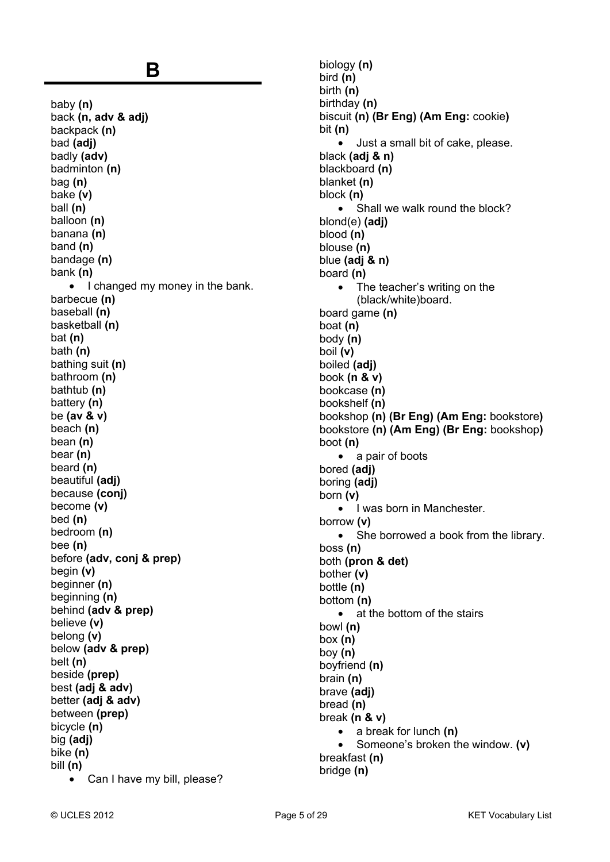baby **(n)**  back **(n, adv & adj)**  backpack **(n)**  bad **(adj)**  badly **(adv)**  badminton **(n)**  bag **(n)**  bake **(v)** ball **(n)**  balloon **(n)** banana **(n)**  band **(n)**  bandage **(n)** bank **(n)**  • I changed my money in the bank. barbecue **(n)** baseball **(n)** basketball **(n)**  bat **(n)** bath **(n)**  bathing suit **(n)** bathroom **(n)**  bathtub **(n)**  battery **(n)** be **(av & v)**  beach **(n)**  bean **(n)**  bear **(n)**  beard **(n)**  beautiful **(adj)**  because **(conj)**  become **(v)**  bed **(n)**  bedroom **(n)**  bee **(n)**  before **(adv, conj & prep)**  begin **(v)**  beginner **(n)**  beginning **(n)**  behind **(adv & prep)**  believe **(v)**  belong **(v)**  below **(adv & prep)** belt **(n)**  beside **(prep)**  best **(adj & adv)**  better **(adj & adv)**  between **(prep)** bicycle **(n)** big **(adj)** bike **(n)**  bill **(n)**  Can I have my bill, please?

biology **(n)** bird **(n)**  birth **(n)** birthday **(n)** biscuit **(n) (Br Eng) (Am Eng:** cookie**)**  bit **(n)**  • Just a small bit of cake, please. black **(adj & n)**  blackboard **(n)** blanket **(n)**  block **(n)**  Shall we walk round the block? blond(e) **(adj)**  blood **(n)** blouse **(n)** blue **(adj & n)** board **(n)** • The teacher's writing on the (black/white)board. board game **(n)** boat **(n)** body **(n)**  boil **(v)**  boiled **(adj)** book **(n & v)**  bookcase **(n)** bookshelf **(n)** bookshop **(n) (Br Eng) (Am Eng:** bookstore**)**  bookstore **(n) (Am Eng) (Br Eng:** bookshop**)**  boot **(n)**  • a pair of boots bored **(adj)**  boring **(adj)**  born **(v)**  • I was born in Manchester. borrow **(v)** • She borrowed a book from the library. boss **(n)** both **(pron & det)**  bother **(v)** bottle **(n)**  bottom **(n)**  • at the bottom of the stairs bowl **(n)**  box **(n)**  boy **(n)**  boyfriend **(n)**  brain **(n)**  brave **(adj)** bread **(n)** break **(n & v)**  • a break for lunch **(n)** • Someone's broken the window. **(v)**  breakfast **(n)**  bridge **(n)**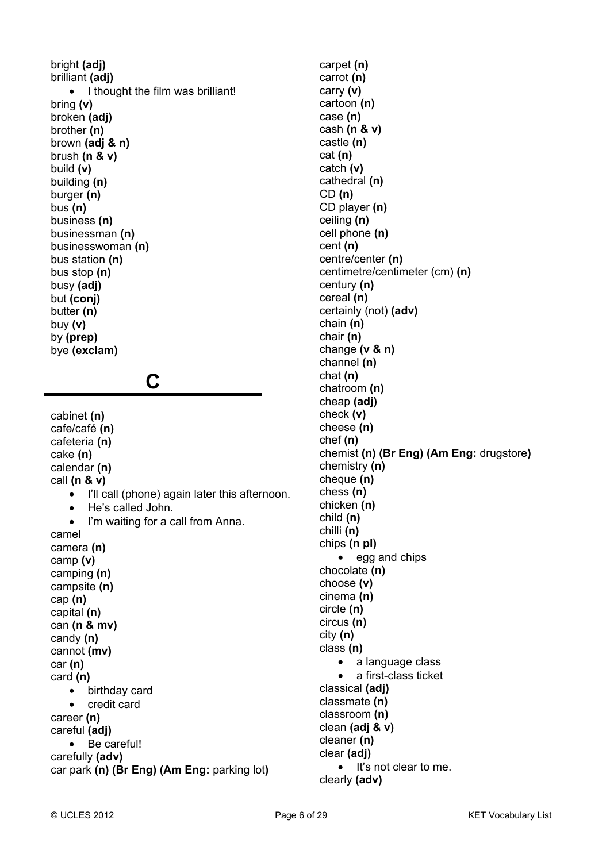bright **(adj)**  brilliant **(adj)** • I thought the film was brilliant! bring **(v)**  broken **(adj)** brother **(n)** brown **(adj & n)**  brush **(n & v)** build **(v)**  building **(n)**  burger **(n)**  bus **(n)** business **(n)**  businessman **(n)**  businesswoman **(n)**  bus station **(n)**  bus stop **(n)**  busy **(adj)** but **(conj)** butter **(n)** buy **(v)** by **(prep)**  bye **(exclam)** 

## **C**

cabinet **(n)** cafe/café **(n)**  cafeteria **(n)** cake **(n)**  calendar **(n)** call **(n & v)**  • I'll call (phone) again later this afternoon. • He's called John. • I'm waiting for a call from Anna. camel camera **(n)**  camp **(v)**  camping **(n)** campsite **(n)**  cap **(n)**  capital **(n)** can **(n & mv)**  candy **(n)**  cannot **(mv)** car **(n)**  card **(n)**  • birthday card • credit card career **(n)**  careful **(adj)**  • Be careful! carefully **(adv)** car park **(n) (Br Eng) (Am Eng:** parking lot**)**

carpet **(n)**  carrot **(n)** carry **(v)**  cartoon **(n)**  case **(n)**  cash **(n & v)**  castle **(n)** cat **(n)** catch **(v)** cathedral **(n)** CD **(n)**  CD player **(n)**  ceiling **(n)**  cell phone **(n)** cent **(n)**  centre/center **(n)**  centimetre/centimeter (cm) **(n)** century **(n)**  cereal **(n)** certainly (not) **(adv)**  chain **(n)** chair **(n)** change **(v & n)**  channel **(n)**  chat **(n)**  chatroom **(n)**  cheap **(adj)** check **(v)**  cheese **(n)**  chef **(n)** chemist **(n) (Br Eng) (Am Eng:** drugstore**)**  chemistry **(n)** cheque **(n)**  chess **(n)** chicken **(n)** child **(n)**  chilli **(n)** chips **(n pl)**  • egg and chips chocolate **(n)**  choose **(v)** cinema **(n)**  circle **(n)** circus **(n)**  city **(n)**  class **(n)**  • a language class • a first-class ticket classical **(adj)**  classmate **(n)**  classroom **(n)**  clean **(adj & v)**  cleaner **(n)** clear **(adj)**  • It's not clear to me. clearly **(adv)**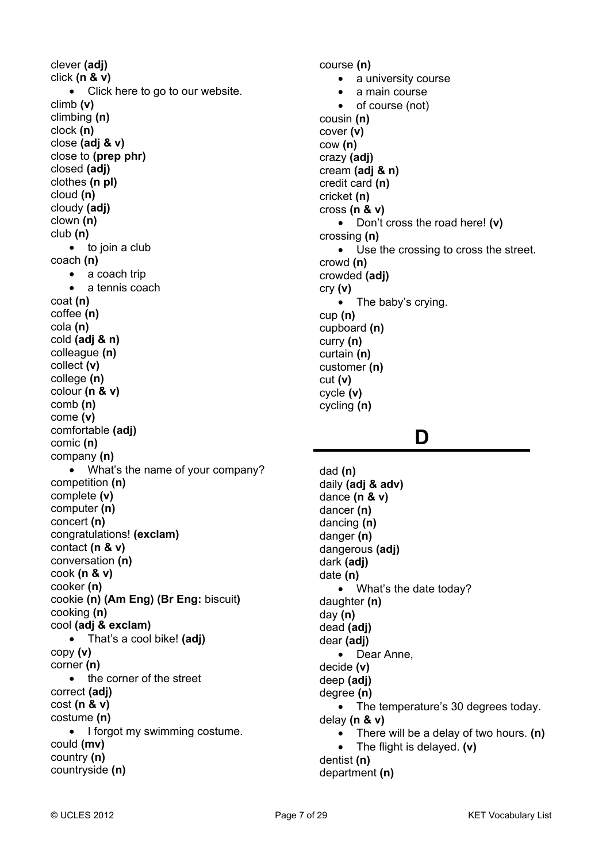clever **(adj)**  click **(n & v)**  • Click here to go to our website. climb **(v)**  climbing **(n)**  clock **(n)**  close **(adj & v)**  close to **(prep phr)**  closed **(adj)**  clothes **(n pl)** cloud **(n)**  cloudy **(adj)** clown **(n)**  club **(n)**  • to join a club coach **(n)**  • a coach trip • a tennis coach coat **(n)** coffee **(n)**  cola **(n)** cold **(adj & n)** colleague **(n)** collect **(v)**  college **(n)** colour **(n & v)** comb **(n)** come **(v)**  comfortable **(adj)**  comic **(n)**  company **(n)**  • What's the name of your company? competition **(n)**  complete **(v)** computer **(n)** concert **(n)** congratulations! **(exclam)**  contact **(n & v)** conversation **(n)** cook **(n & v)**  cooker **(n)**  cookie **(n) (Am Eng) (Br Eng:** biscuit**)**  cooking **(n)** cool **(adj & exclam)**  • That's a cool bike! **(adj)** copy **(v)** corner **(n)**  • the corner of the street correct **(adj)**  cost **(n & v)**  costume **(n)**  • I forgot my swimming costume. could **(mv)**  country **(n)** countryside **(n)** 

course **(n)**  • a university course a main course • of course (not) cousin **(n)**  cover **(v)**  cow **(n)**  crazy **(adj)**  cream **(adj & n)** credit card **(n)**  cricket **(n)**  cross **(n & v)**  • Don't cross the road here! **(v)** crossing **(n)**  • Use the crossing to cross the street. crowd **(n)**  crowded **(adj)**  cry **(v)**  • The baby's crying. cup **(n)** cupboard **(n)**  curry **(n)**  curtain **(n)**  customer **(n)** cut **(v)**  cycle **(v)**  cycling **(n)** 

## **D**

dad **(n)** daily **(adj & adv)**  dance **(n & v)**  dancer **(n)** dancing **(n)** danger **(n)** dangerous **(adj)** dark **(adj)**  date **(n)**  • What's the date today? daughter **(n)** day **(n)** dead **(adj)** dear **(adj)**  • Dear Anne, decide **(v)**  deep **(adj)** degree **(n)**  • The temperature's 30 degrees today. delay **(n & v)**  • There will be a delay of two hours. **(n)** • The flight is delayed. **(v)** dentist **(n)** 

department **(n)**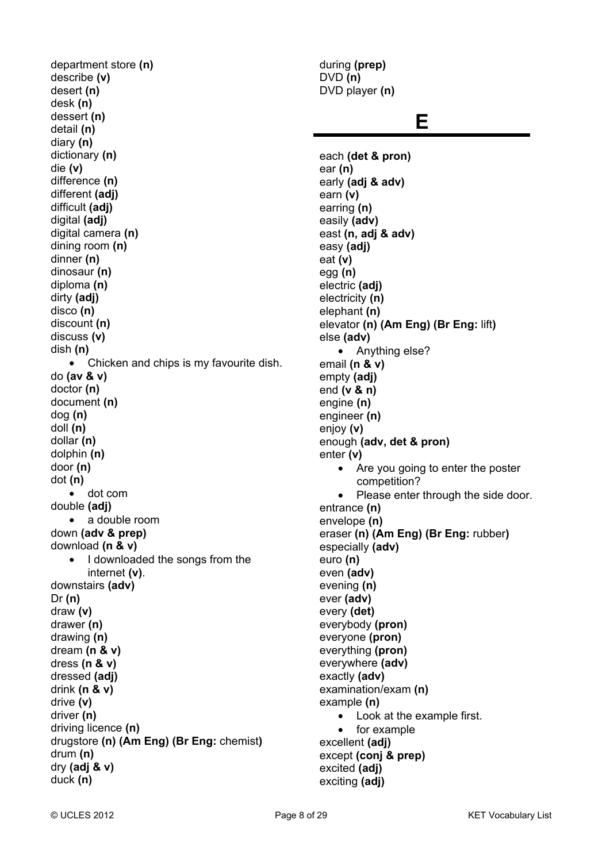during **(prep)**  DVD **(n)**  DVD player **(n)** 

## **E**

desert **(n)**  desk **(n)**  dessert **(n)**  detail **(n)**  diary **(n)** dictionary **(n)** die **(v)** difference **(n)** different **(adj)**  difficult **(adj)** digital **(adj)**  digital camera **(n)**  dining room **(n)** dinner **(n)** dinosaur **(n)**  diploma **(n)**  dirty **(adj)**  disco **(n)**  discount **(n)**  discuss **(v)**  dish **(n)**  • Chicken and chips is my favourite dish. do **(av & v)**  doctor **(n)**  document **(n)** dog **(n)**  doll **(n)** dollar **(n)**  dolphin **(n)** door **(n)**  dot **(n)** dot com double **(adj)**  • a double room down **(adv & prep)**  download **(n & v)** • I downloaded the songs from the internet **(v)**. downstairs **(adv)** Dr **(n)** draw **(v)**  drawer **(n)** drawing **(n)** dream **(n & v)**  dress **(n & v)**  dressed **(adj)** drink **(n & v)** drive **(v)**  driver **(n)** driving licence **(n)**  drugstore **(n) (Am Eng) (Br Eng:** chemist**)**  drum **(n)** dry **(adj & v)**  duck **(n)**

department store **(n)**

describe **(v)** 

each **(det & pron)** ear **(n)**  early **(adj & adv)** earn **(v)** earring **(n)** easily **(adv)** east **(n, adj & adv)** easy **(adj)**  eat **(v)** egg **(n)**  electric **(adj)**  electricity **(n)**  elephant **(n)**  elevator **(n) (Am Eng) (Br Eng:** lift**)** else **(adv)** • Anything else? email **(n & v)**  empty **(adj)** end **(v & n)** engine **(n)** engineer **(n)**  enjoy **(v)** enough **(adv, det & pron)**  enter **(v)**  • Are you going to enter the poster competition? • Please enter through the side door. entrance **(n)** envelope **(n)**  eraser **(n) (Am Eng) (Br Eng:** rubber**)**  especially **(adv)** euro **(n)**  even **(adv)**  evening **(n)**  ever **(adv)** every **(det)** everybody **(pron)** everyone **(pron)**  everything **(pron)**  everywhere **(adv)**  exactly **(adv)** examination/exam **(n)**  example **(n)**  • Look at the example first. • for example excellent **(adj)**  except **(conj & prep)**  excited **(adj)**  exciting **(adj)**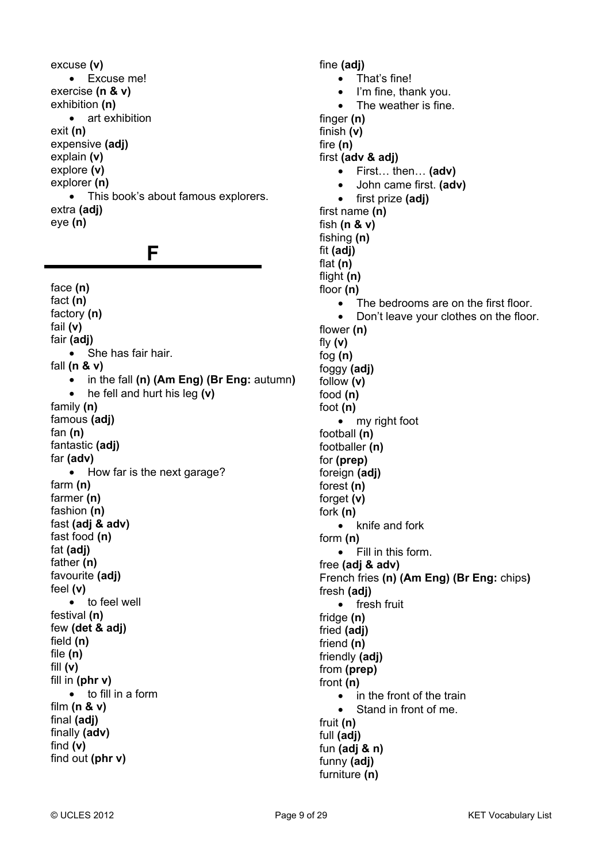excuse **(v)**  • Excuse me! exercise **(n & v)**  exhibition **(n)**  • art exhibition exit **(n)** expensive **(adj)** explain **(v)**  explore **(v)**  explorer **(n)**  • This book's about famous explorers. extra **(adj)**  eye **(n)** 

#### **F**

face **(n)**  fact **(n)** factory **(n)**  fail **(v)**  fair **(adj)**  • She has fair hair. fall **(n & v)**  • in the fall **(n) (Am Eng) (Br Eng:** autumn**)** • he fell and hurt his leg **(v)** family **(n)** famous **(adj)**  fan **(n)**  fantastic **(adj)** far **(adv)**  • How far is the next garage? farm **(n)**  farmer **(n)** fashion **(n)**  fast **(adj & adv)** fast food **(n)**  fat **(adj)** father **(n)** favourite **(adj)** feel **(v)**  • to feel well festival **(n)** few **(det & adj)**  field **(n)**  file **(n)** fill **(v)** fill in **(phr v)**  • to fill in a form film **(n & v)**  final **(adj)**  finally **(adv)** find **(v)**  find out **(phr v)**

fine **(adj)**  • That's fine! • I'm fine, thank you. The weather is fine. finger **(n)** finish **(v)**  fire **(n)** first **(adv & adj)**  • First… then… **(adv)** • John came first. **(adv)** • first prize **(adj)** first name **(n)** fish **(n & v)**  fishing **(n)** fit **(adj)** flat **(n)** flight **(n)** floor **(n)**  • The bedrooms are on the first floor • Don't leave your clothes on the floor. flower **(n)** fly **(v)** fog **(n)** foggy **(adj)** follow **(v)** food **(n)** foot **(n)** • my right foot football **(n)** footballer **(n)**  for **(prep)**  foreign **(adj)**  forest **(n)** forget **(v)**  fork **(n)**  • knife and fork form **(n)** • Fill in this form. free **(adj & adv)**  French fries **(n) (Am Eng) (Br Eng:** chips**)** 

fresh **(adj)**  • fresh fruit fridge **(n)** fried **(adj)** friend **(n)** friendly **(adj)** from **(prep)**  front **(n)**  • in the front of the train Stand in front of me. fruit **(n)** full **(adj)** fun **(adj & n)** funny **(adj)**  furniture **(n)**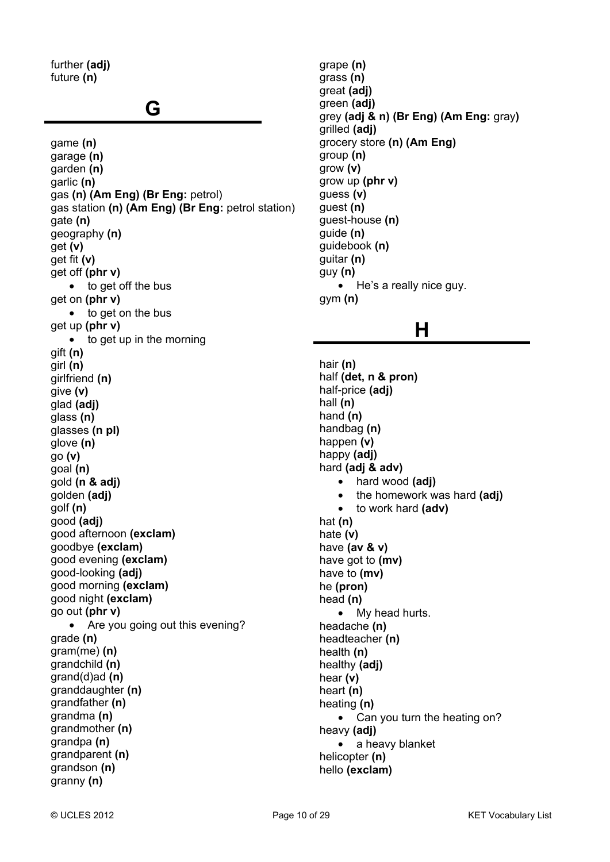further **(adj)**  future **(n)** 

## **G**

game **(n)** garage **(n)**  garden **(n)**  garlic **(n)** gas **(n) (Am Eng) (Br Eng:** petrol) gas station **(n) (Am Eng) (Br Eng:** petrol station) gate **(n)**  geography **(n)**  get **(v)**  get fit **(v)**  get off **(phr v)** • to get off the bus get on **(phr v)** • to get on the bus get up **(phr v)**  • to get up in the morning gift **(n)** girl **(n)**  girlfriend **(n)** give **(v)**  glad **(adj)** glass **(n)** glasses **(n pl)**  glove **(n)** go **(v)**  goal **(n)**  gold **(n & adj)**  golden **(adj)**  golf **(n)**  good **(adj)**  good afternoon **(exclam)**  goodbye **(exclam)**  good evening **(exclam)**  good-looking **(adj)**  good morning **(exclam)**  good night **(exclam)**  go out **(phr v)** • Are you going out this evening? grade **(n)**  gram(me) **(n)** grandchild **(n)**  grand(d)ad **(n)** granddaughter **(n)** grandfather **(n)**  grandma **(n)** grandmother **(n)**  grandpa **(n)** grandparent **(n)** grandson **(n)**  granny **(n)**

grape **(n)** grass **(n)** great **(adj)**  green **(adj)** grey **(adj & n) (Br Eng) (Am Eng:** gray**)**  grilled **(adj)**  grocery store **(n) (Am Eng)**  group **(n)**  grow **(v)**  grow up **(phr v)**  guess **(v)**  guest **(n)** guest-house **(n)** guide **(n)**  guidebook **(n)** guitar **(n)**  guy **(n)**  • He's a really nice guy. gym **(n)**

## **H**

hair **(n)** half **(det, n & pron)**  half-price **(adj)**  hall **(n)** hand **(n)**  handbag **(n)** happen **(v)** happy **(adj)**  hard **(adj & adv)**  • hard wood **(adj)** • the homework was hard **(adj)**  • to work hard **(adv)** hat **(n)** hate **(v)** have **(av & v)** have got to **(mv)** have to **(mv)** he **(pron)** head **(n)** • My head hurts. headache **(n)**  headteacher **(n)** health **(n)** healthy **(adj)**  hear **(v)** heart **(n)** heating **(n)** • Can you turn the heating on? heavy **(adj)** • a heavy blanket helicopter **(n)**  hello **(exclam)**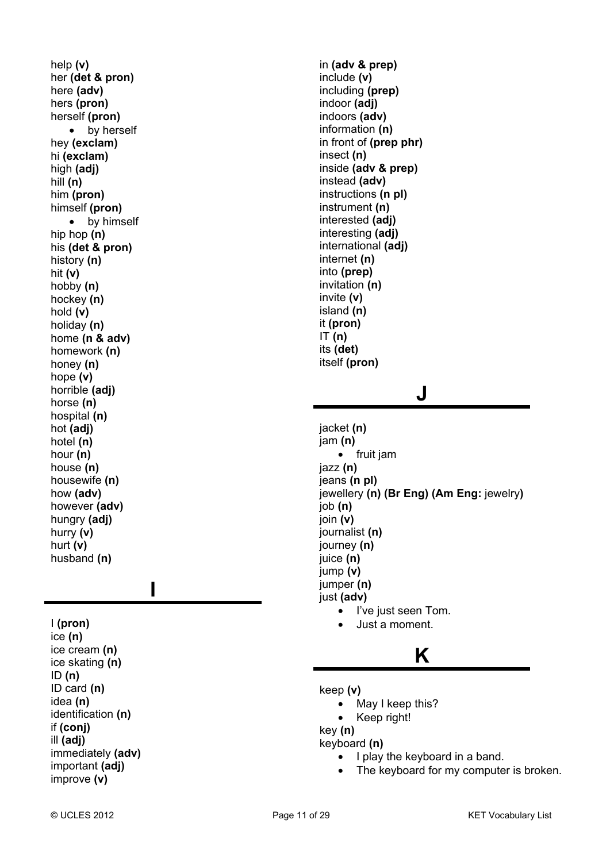help **(v)**  her **(det & pron)**  here **(adv)** hers **(pron)**  herself **(pron)**  • by herself hey **(exclam)** hi **(exclam)** high **(adj)**  hill **(n)** him **(pron)**  himself **(pron)**  • by himself hip hop **(n)**  his **(det & pron)**  history **(n)** hit **(v)**  hobby **(n)** hockey **(n)**  hold **(v)**  holiday **(n)** home **(n & adv)** homework **(n)**  honey **(n)** hope **(v)**  horrible **(adj)** horse **(n)** hospital **(n)** hot **(adj)** hotel **(n)** hour **(n)** house **(n)**  housewife **(n)** how **(adv)**  however **(adv)**  hungry **(adj)** hurry **(v)**  hurt **(v)** husband **(n)**

**I** 

I **(pron)**  ice **(n)** ice cream **(n)**  ice skating **(n)** ID **(n)**  ID card **(n)** idea **(n)** identification **(n)** if **(conj)** ill **(adj)** immediately **(adv)**  important **(adj)** improve **(v)** 

in **(adv & prep)** include **(v)**  including **(prep)**  indoor **(adj)**  indoors **(adv)**  information **(n)** in front of **(prep phr)**  insect **(n)** inside **(adv & prep)** instead **(adv)**  instructions **(n pl)**  instrument **(n)**  interested **(adj)**  interesting **(adj)**  international **(adj)** internet **(n)**  into **(prep)** invitation **(n)**  invite **(v)**  island **(n)**  it **(pron)**  IT **(n)** its **(det)**  itself **(pron)** 

## **J**

jacket **(n)**  jam **(n)**  • fruit jam jazz **(n)** jeans **(n pl)**  jewellery **(n) (Br Eng) (Am Eng:** jewelry**)** job **(n)** join **(v)**  journalist **(n)**  journey **(n)** juice **(n)**  jump **(v)**  jumper **(n)** just **(adv)** 

- I've just seen Tom.
- Just a moment.

# **K**

#### keep **(v)**

- May I keep this?
- Keep right!
- key **(n)**
- keyboard **(n)** 
	- I play the keyboard in a band.
	- The keyboard for my computer is broken.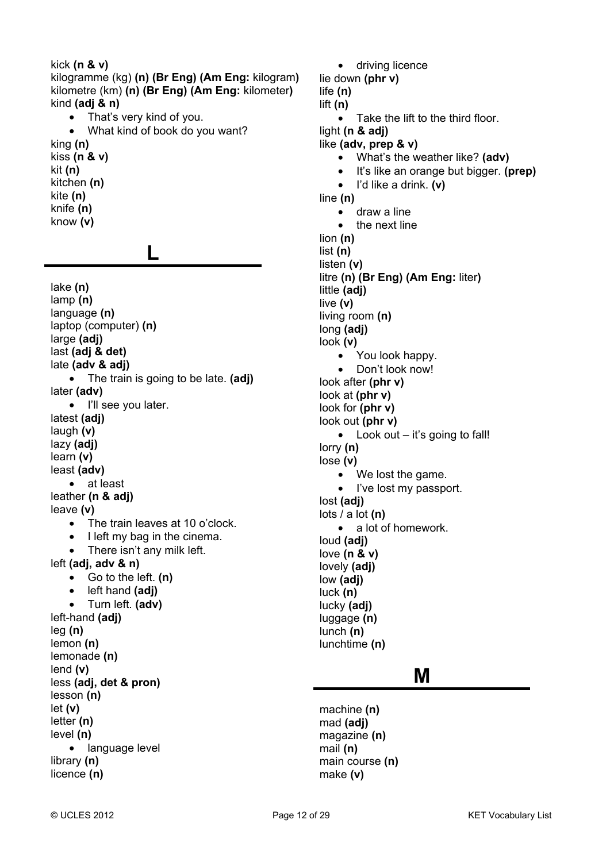#### kick **(n & v)**

kilogramme (kg) **(n) (Br Eng) (Am Eng:** kilogram**)** kilometre (km) **(n) (Br Eng) (Am Eng:** kilometer**)** kind **(adj & n)**

- That's very kind of you.
- What kind of book do you want? king **(n)**  kiss **(n & v)**  kit **(n)**  kitchen **(n)**  kite **(n)**  knife **(n)** know **(v)**

**L** 

lake **(n)** lamp **(n)**  language **(n)**  laptop (computer) **(n)** large **(adj)**  last **(adj & det)**  late **(adv & adj)** • The train is going to be late. **(adj)** later **(adv)** • I'll see you later. latest **(adj)** laugh **(v)**  lazy **(adj)** learn **(v)**  least **(adv)**  • at least leather **(n & adj)** leave **(v)**  • The train leaves at 10 o'clock. • I left my bag in the cinema. • There isn't any milk left. left **(adj, adv & n)** • Go to the left. **(n)** • left hand **(adj)** • Turn left. **(adv)** left-hand **(adj)** leg **(n)** lemon **(n)** lemonade **(n)**  lend **(v)**  less **(adj, det & pron)** lesson **(n)** let **(v)** letter **(n)** level **(n)**  • language level library **(n)** licence **(n)** 

• driving licence lie down **(phr v)** life **(n)**  lift **(n)**  • Take the lift to the third floor. light **(n & adj)** like **(adv, prep & v)**  • What's the weather like? **(adv)** • It's like an orange but bigger. **(prep)** • I'd like a drink. **(v)** line **(n)**  • draw a line • the next line lion **(n)**  list **(n)** listen **(v)** litre **(n) (Br Eng) (Am Eng:** liter**)** little **(adj)** live **(v)** living room **(n)** long **(adj)** look **(v)**  • You look happy. • Don't look now! look after **(phr v)**  look at **(phr v)** look for **(phr v)** look out **(phr v)** • Look out – it's going to fall! lorry **(n)** lose **(v)** • We lost the game. • I've lost my passport. lost **(adj)** lots / a lot **(n)** • a lot of homework. loud **(adj)** love **(n & v)** lovely **(adj)** low **(adj)** luck **(n)**  lucky **(adj)**  luggage **(n)** lunch **(n)** 

## **M**

machine **(n)**  mad **(adj)**  magazine **(n)**  mail **(n)**  main course **(n)**  make **(v)**

lunchtime **(n)**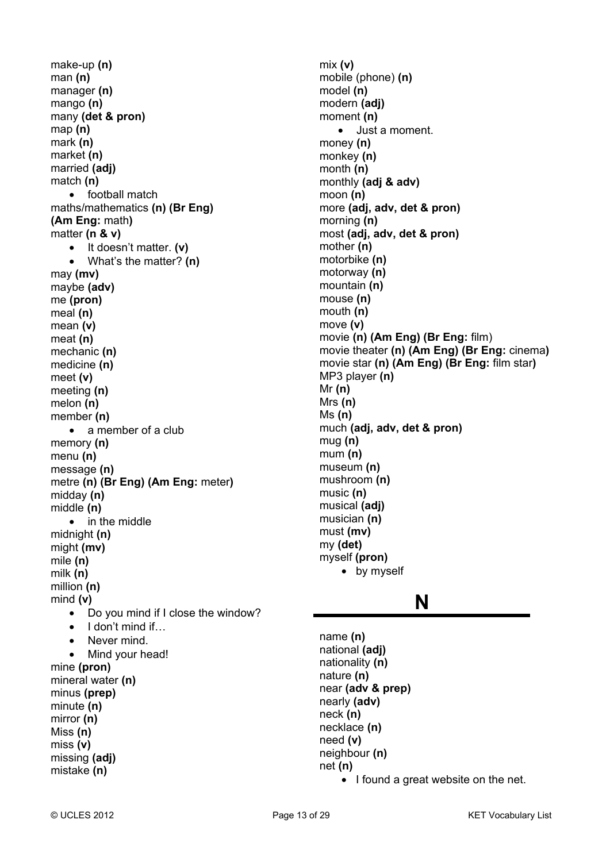make-up **(n)**  man **(n)** manager **(n)**  mango **(n)** many **(det & pron)** map **(n)**  mark **(n)**  market **(n)** married **(adj)** match **(n)** • football match maths/mathematics **(n) (Br Eng) (Am Eng:** math**)**  matter **(n & v)** • It doesn't matter. **(v)** • What's the matter? **(n)** may **(mv)** maybe **(adv)** me **(pron)** meal **(n)** mean **(v)**  meat **(n)** mechanic **(n)**  medicine **(n)** meet **(v)**  meeting **(n)**  melon **(n)**  member **(n)**  • a member of a club memory **(n)** menu **(n)** message **(n)** metre **(n) (Br Eng) (Am Eng:** meter**)**  midday **(n)** middle **(n)**  • in the middle midnight **(n)**  might **(mv)** mile **(n)**  milk **(n)**  million **(n)**  mind **(v)** • Do you mind if I close the window? • I don't mind if… • Never mind. • Mind your head! mine **(pron)** mineral water **(n)**  minus **(prep)** minute **(n)** mirror **(n)**  Miss **(n)** miss **(v)**  missing **(adj)**  mistake **(n)** 

mix **(v)**  mobile (phone) **(n)**  model **(n)**  modern **(adj)** moment **(n)** • Just a moment. money **(n)** monkey **(n)**  month **(n)** monthly **(adj & adv)**  moon **(n)**  more **(adj, adv, det & pron)** morning **(n)**  most **(adj, adv, det & pron)** mother **(n)** motorbike **(n)** motorway **(n)** mountain **(n)**  mouse **(n)** mouth **(n)**  move **(v)**  movie **(n) (Am Eng) (Br Eng:** film) movie theater **(n) (Am Eng) (Br Eng:** cinema**)**  movie star **(n) (Am Eng) (Br Eng:** film star**)** MP3 player **(n)** Mr **(n)** Mrs **(n)** Ms **(n)** much **(adj, adv, det & pron)**  mug **(n)** mum **(n)**  museum **(n)**  mushroom **(n)** music **(n)**  musical **(adj)**  musician **(n)** must **(mv)** my **(det)** myself **(pron)** • by myself

## **N**

- name **(n)**  national **(adj)** nationality **(n)** nature **(n)** near **(adv & prep)** nearly **(adv)**  neck **(n)**  necklace **(n)** need **(v)**  neighbour **(n)**  net **(n)** 
	- I found a great website on the net.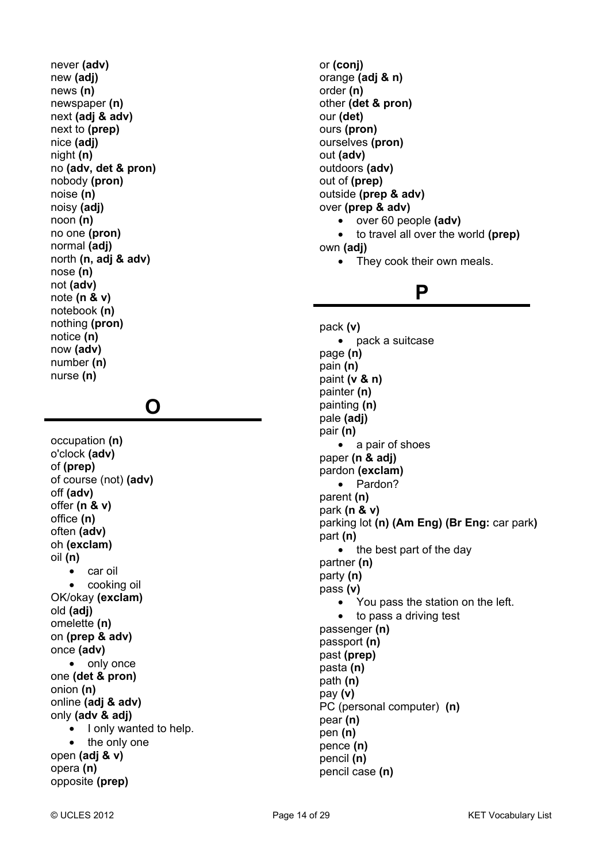never **(adv)** new **(adj)** news **(n)** newspaper **(n)** next **(adj & adv)** next to **(prep)** nice **(adj)**  night **(n)** no **(adv, det & pron)** nobody **(pron)**  noise **(n)** noisy **(adj)**  noon **(n)**  no one **(pron)**  normal **(adj)**  north **(n, adj & adv)**  nose **(n)**  not **(adv)** note **(n & v)**  notebook **(n)** nothing **(pron)**  notice **(n)** now **(adv)** number **(n)** nurse **(n)** 

**O** 

occupation **(n)** o'clock **(adv)** of **(prep)** of course (not) **(adv)**  off **(adv)**  offer **(n & v)** office **(n)**  often **(adv)**  oh **(exclam)** oil **(n)**  • car oil • cooking oil OK/okay **(exclam)** old **(adj)** omelette **(n)** on **(prep & adv)** once **(adv)**  • only once one **(det & pron)** onion **(n)** online **(adj & adv)**  only **(adv & adj)**  • I only wanted to help. • the only one open **(adj & v)** opera **(n)** opposite **(prep)** 

or **(conj)** orange **(adj & n)** order **(n)**  other **(det & pron)** our **(det)** ours **(pron)**  ourselves **(pron)** out **(adv)**  outdoors **(adv)**  out of **(prep)** outside **(prep & adv)** over **(prep & adv)**  • over 60 people **(adv)** 

- 
- to travel all over the world **(prep)**
- own **(adj)** 
	- They cook their own meals.

## **P**

pack **(v)** • pack a suitcase page **(n)** pain **(n)** paint **(v & n)**  painter **(n)**  painting **(n)**  pale **(adj)**  pair **(n)** • a pair of shoes paper **(n & adj)** pardon **(exclam)**  • Pardon? parent **(n)** park **(n & v)**  parking lot **(n) (Am Eng) (Br Eng:** car park**)**  part **(n)** • the best part of the day partner **(n)** party **(n)** pass **(v)** • You pass the station on the left. • to pass a driving test passenger **(n)** passport **(n)** past **(prep)** pasta **(n)**  path **(n)**  pay **(v)**  PC (personal computer) **(n)**  pear **(n)** pen **(n)**  pence **(n)**  pencil **(n)**  pencil case **(n)**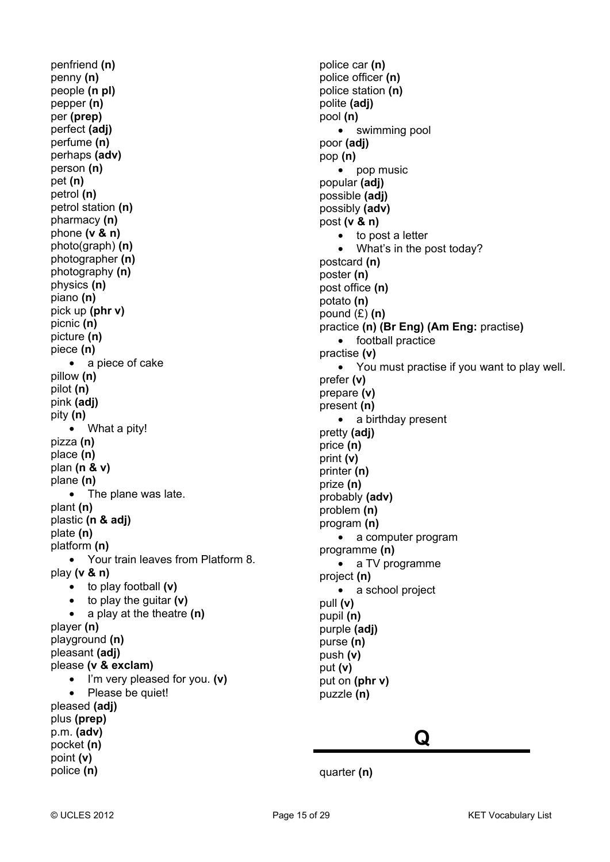penfriend **(n)** penny **(n)** people **(n pl)** pepper **(n)** per **(prep)**  perfect **(adj)**  perfume **(n)** perhaps **(adv)**  person **(n)** pet **(n)** petrol **(n)**  petrol station **(n)** pharmacy **(n)**  phone **(v & n)** photo(graph) **(n)**  photographer **(n)** photography **(n)**  physics **(n)**  piano **(n)**  pick up **(phr v)**  picnic **(n)**  picture **(n)** piece **(n)**  • a piece of cake pillow **(n)** pilot **(n)** pink **(adj)** pity **(n)** • What a pity! pizza **(n)**  place **(n)**  plan **(n & v)** plane **(n)** • The plane was late. plant **(n)** plastic **(n & adj)** plate **(n)** platform **(n)**  • Your train leaves from Platform 8. play **(v & n)**  • to play football **(v)**  • to play the guitar **(v)** • a play at the theatre **(n)** player **(n)** playground **(n)**  pleasant **(adj)** please **(v & exclam)**  • I'm very pleased for you. **(v)** • Please be quiet! pleased **(adj)**  plus **(prep)** p.m. **(adv)**  pocket **(n)** point **(v)** police **(n)** 

police car **(n)** police officer **(n)** police station **(n)**  polite **(adj)**  pool **(n)**  • swimming pool poor **(adj)** pop **(n)** • pop music popular **(adj)**  possible **(adj)**  possibly **(adv)**  post **(v & n)** • to post a letter • What's in the post today? postcard **(n)** poster **(n)**  post office **(n)**  potato **(n)** pound (£) **(n)** practice **(n) (Br Eng) (Am Eng:** practise**)**  • football practice practise **(v)**  • You must practise if you want to play well. prefer **(v)**  prepare **(v)** present **(n)** • a birthday present pretty **(adj)**  price **(n)**  print **(v)**  printer **(n)** prize **(n)**  probably **(adv)**  problem **(n)** program **(n)** • a computer program programme **(n)**  • a TV programme project **(n)**  • a school project pull **(v)**  pupil **(n)** purple **(adj)**  purse **(n)**  push **(v)** put **(v)** put on **(phr v)**  puzzle **(n) Q** 

quarter **(n)**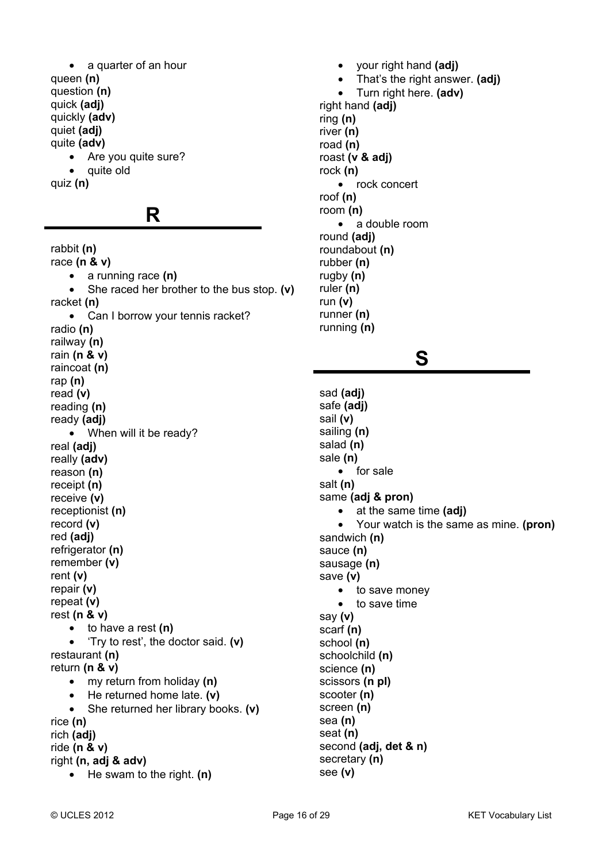• a quarter of an hour queen **(n)** question **(n)** quick **(adj)**  quickly **(adv)** quiet **(adj)** quite **(adv)**  • Are you quite sure?

quite old

quiz **(n)** 

## **R**

rabbit **(n)** race **(n & v)**  • a running race **(n)** • She raced her brother to the bus stop. **(v)** racket **(n)**  • Can I borrow your tennis racket? radio **(n)** railway **(n)** rain **(n & v)** raincoat **(n)** rap **(n)**  read **(v)**  reading **(n)** ready **(adj)**  • When will it be ready? real **(adj)** really **(adv)**  reason **(n)**  receipt **(n)**  receive **(v)** receptionist **(n)** record **(v)** red **(adj)**  refrigerator **(n)** remember **(v)**  rent **(v)** repair **(v)**  repeat **(v)**  rest **(n & v)**  • to have a rest **(n)**  • 'Try to rest', the doctor said. **(v)** restaurant **(n)** return **(n & v)** • my return from holiday **(n)** • He returned home late. **(v)** • She returned her library books. **(v)** rice **(n)** rich **(adj)** ride **(n & v)**  right **(n, adj & adv)**  • He swam to the right. **(n)**

• your right hand **(adj)** • That's the right answer. **(adj)** • Turn right here. **(adv)** right hand **(adj)**  ring **(n)** river **(n)** road **(n)** roast **(v & adj)** rock **(n)**  • rock concert roof **(n)**  room **(n)**  • a double room round **(adj)** roundabout **(n)**  rubber **(n)**  rugby **(n)**  ruler **(n)** run **(v)**  runner **(n)**  running **(n)** 

## **S**

sad **(adj)**  safe **(adj)**  sail **(v)**  sailing **(n)**  salad **(n)** sale **(n)** • for sale salt **(n)** same **(adj & pron)** • at the same time **(adj)** • Your watch is the same as mine. **(pron)** sandwich **(n)**  sauce **(n)**  sausage **(n)** save **(v)**  • to save money • to save time say **(v)**  scarf **(n)**  school **(n)**  schoolchild **(n)**  science **(n)**  scissors **(n pl)** scooter **(n)**  screen **(n)**  sea **(n)** seat **(n)** second **(adj, det & n)** secretary **(n)**

see **(v)**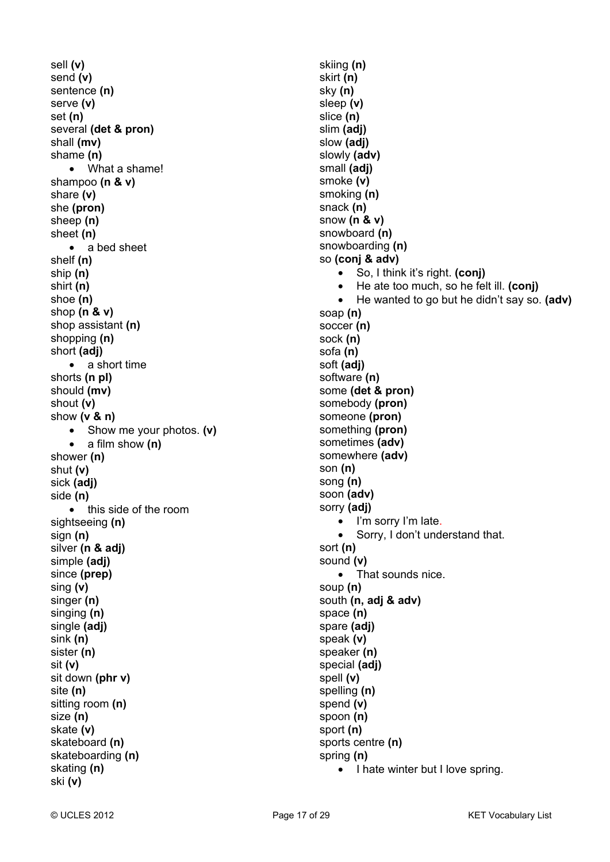sell **(v)** send **(v)** sentence **(n)**  serve **(v)**  set **(n)** several **(det & pron)**  shall **(mv)**  shame **(n)**  • What a shame! shampoo **(n & v)**  share **(v)** she **(pron)**  sheep **(n)** sheet **(n)** • a bed sheet shelf **(n)**  ship **(n)**  shirt **(n)** shoe **(n)** shop **(n & v)** shop assistant **(n)**  shopping **(n)**  short **(adj)** • a short time shorts **(n pl)** should **(mv)**  shout **(v)** show **(v & n)**  • Show me your photos. **(v)** • a film show **(n)** shower **(n)** shut **(v)**  sick **(adj)**  side **(n)**  • this side of the room sightseeing **(n)**  sign **(n)** silver **(n & adj)**  simple **(adj)** since **(prep)** sing **(v)**  singer **(n)**  singing **(n)**  single **(adj)**  sink **(n)** sister **(n)** sit **(v)**  sit down **(phr v)**  site **(n)** sitting room **(n)** size **(n)**  skate **(v)**  skateboard **(n)**  skateboarding **(n)**  skating **(n)**  ski **(v)** 

skiing **(n)**  skirt **(n)**  sky **(n)** sleep **(v)** slice **(n)**  slim **(adj)**  slow **(adj)**  slowly **(adv)** small **(adj)**  smoke **(v)**  smoking **(n)** snack **(n)**  snow **(n & v)**  snowboard **(n)**  snowboarding **(n)**  so **(conj & adv)** • So, I think it's right. **(conj)** • He ate too much, so he felt ill. **(conj)** • He wanted to go but he didn't say so. **(adv)** soap **(n)**  soccer **(n)** sock **(n)** sofa **(n)** soft **(adj)**  software **(n)** some **(det & pron)**  somebody **(pron)** someone **(pron)**  something **(pron)** sometimes **(adv)** somewhere **(adv)**  son **(n)** song **(n)** soon **(adv)** sorry **(adj)** • I'm sorry I'm late. • Sorry, I don't understand that. sort **(n)** sound **(v)**  • That sounds nice. soup **(n)** south **(n, adj & adv)** space **(n)**  spare **(adj)**  speak **(v)**  speaker **(n)**  special **(adj)** spell **(v)**  spelling **(n)** spend **(v)** spoon **(n)** sport **(n)** sports centre **(n)** spring **(n)**  • I hate winter but I love spring.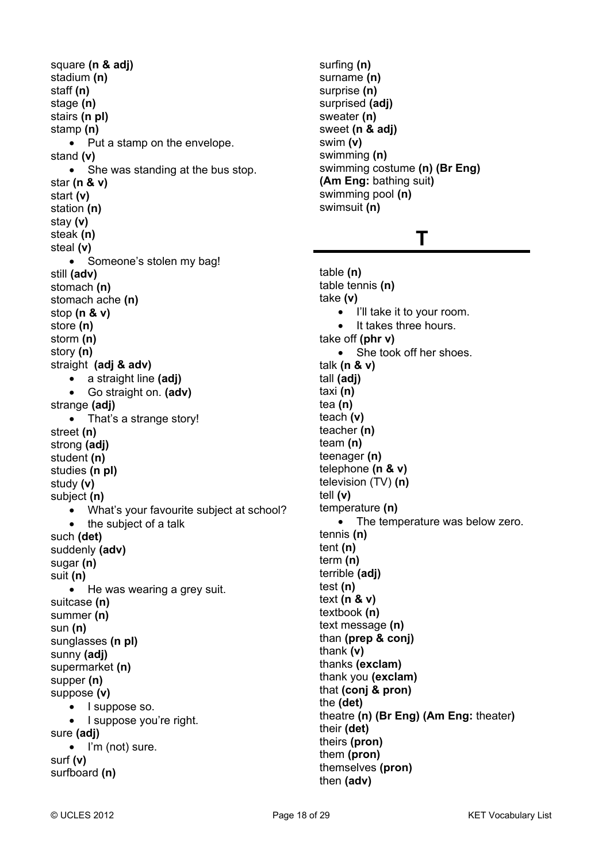square **(n & adj)** stadium **(n)**  staff **(n)**  stage **(n)**  stairs **(n pl)** stamp **(n)**  • Put a stamp on the envelope. stand **(v)**  • She was standing at the bus stop. star **(n & v)**  start **(v)** station **(n)**  stay **(v)** steak **(n)** steal **(v)**  • Someone's stolen my bag! still **(adv)** stomach **(n)**  stomach ache **(n)** stop **(n & v)**  store **(n)**  storm **(n)**  story **(n)**  straight **(adj & adv)**  • a straight line **(adj)** • Go straight on. **(adv)** strange **(adj)** • That's a strange story! street **(n)** strong **(adj)** student **(n)** studies **(n pl)**  study **(v)** subject **(n)** • What's your favourite subject at school? • the subject of a talk such **(det)** suddenly **(adv)**  sugar **(n)** suit **(n)**  • He was wearing a grey suit. suitcase **(n)** summer **(n)**  sun **(n)**  sunglasses **(n pl)** sunny **(adj)** supermarket **(n)** supper **(n)** suppose **(v)** • I suppose so. • I suppose you're right. sure **(adj)**  • I'm (not) sure. surf **(v)** surfboard **(n)**

surfing **(n)** surname **(n)** surprise **(n)** surprised **(adj)**  sweater **(n)**  sweet **(n & adj)** swim **(v)**  swimming **(n)**  swimming costume **(n) (Br Eng) (Am Eng:** bathing suit**)**  swimming pool **(n)**  swimsuit **(n)**

## **T**

table **(n)** table tennis **(n)** take **(v)**  • I'll take it to your room. • It takes three hours. take off **(phr v)** • She took off her shoes. talk **(n & v)**  tall **(adj)** taxi **(n)** tea **(n)** teach **(v)**  teacher **(n)** team **(n)** teenager **(n)**  telephone **(n & v)** television (TV) **(n)** tell **(v)** temperature **(n)** • The temperature was below zero. tennis **(n)** tent **(n)** term **(n)**  terrible **(adj)**  test **(n)**  text **(n & v)**  textbook **(n)** text message **(n)** than **(prep & conj)** thank **(v)**  thanks **(exclam)**  thank you **(exclam)**  that **(conj & pron)** the **(det)** theatre **(n) (Br Eng) (Am Eng:** theater**)** their **(det)** theirs **(pron)** them **(pron)**  themselves **(pron)** then **(adv)**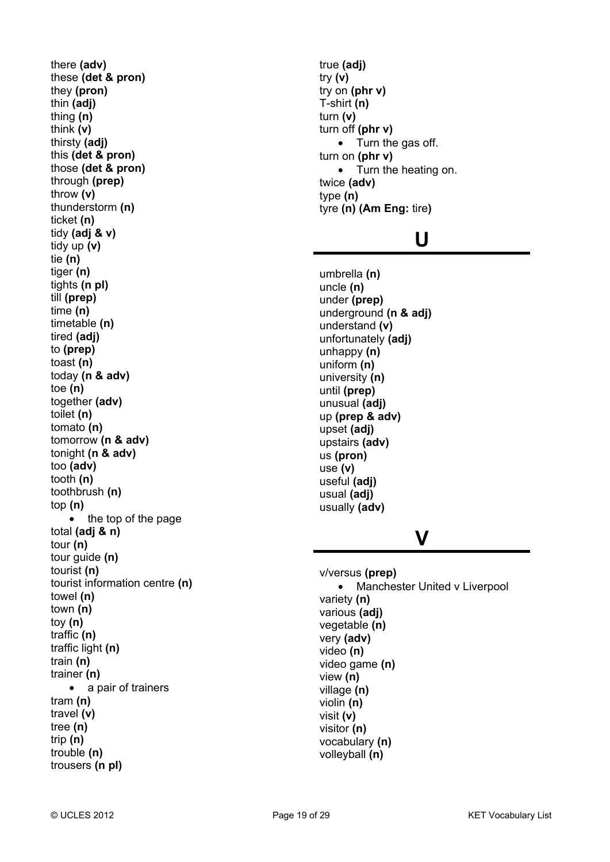there **(adv)** these **(det & pron)** they **(pron)**  thin **(adj)** thing **(n)** think **(v)** thirsty **(adj)** this **(det & pron)** those **(det & pron)** through **(prep)** throw **(v)**  thunderstorm **(n)** ticket **(n)**  tidy **(adj & v)**  tidy up **(v)**  tie **(n)**  tiger **(n)**  tights **(n pl)** till **(prep)** time **(n)**  timetable **(n)** tired **(adj)** to **(prep)**  toast **(n)** today **(n & adv)**  toe **(n)** together **(adv)** toilet **(n)** tomato **(n)** tomorrow **(n & adv)** tonight **(n & adv)** too **(adv)** tooth **(n)** toothbrush **(n)** top **(n)**  • the top of the page total **(adj & n)**  tour **(n)** tour guide **(n)** tourist **(n)** tourist information centre **(n)** towel **(n)** town **(n)** toy **(n)**  traffic **(n)** traffic light **(n)** train **(n)**  trainer **(n)**  • a pair of trainers tram **(n)** travel **(v)** tree **(n)** trip **(n)** trouble **(n)**  trousers **(n pl)** 

true **(adj)** try **(v)** try on **(phr v)** T-shirt **(n)** turn **(v)** turn off **(phr v)**  • Turn the gas off. turn on **(phr v)**  • Turn the heating on. twice **(adv)**  type **(n)**  tyre **(n) (Am Eng:** tire**)**

## **U**

umbrella **(n)**  uncle **(n)**  under **(prep)** underground **(n & adj)** understand **(v)**  unfortunately **(adj)**  unhappy **(n)** uniform **(n)** university **(n)** until **(prep)** unusual **(adj)** up **(prep & adv)**  upset **(adj)** upstairs **(adv)** us **(pron)** use **(v)** useful **(adj)** usual **(adj)**  usually **(adv)**

## **V**

v/versus **(prep)** • Manchester United v Liverpool variety **(n)**  various **(adj)**  vegetable **(n)** very **(adv)** video **(n)**  video game **(n)**  view **(n)** village **(n)** violin **(n)** visit **(v)** visitor **(n)**  vocabulary **(n)** volleyball **(n)**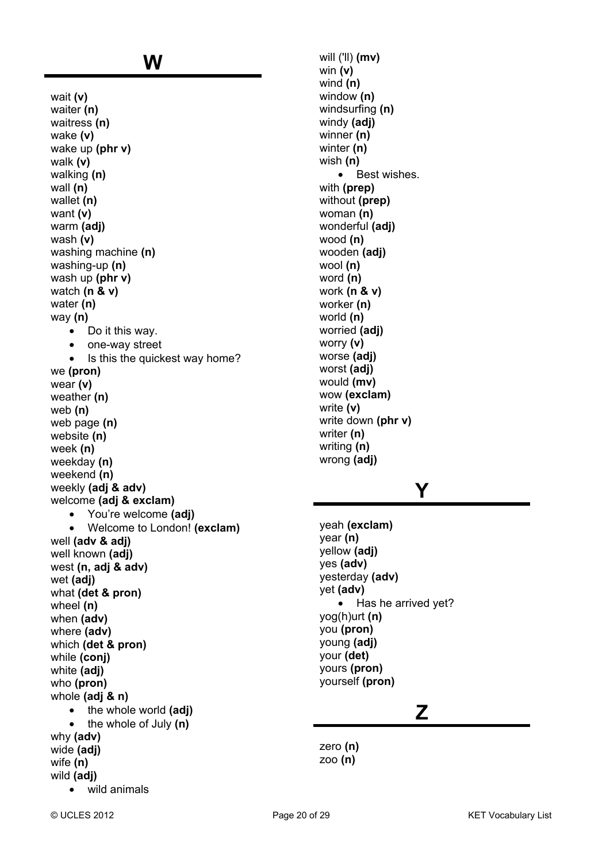wait **(v)** waiter **(n)**  waitress **(n)**  wake **(v)** wake up **(phr v)** walk **(v)**  walking **(n)**  wall **(n)** wallet **(n)**  want **(v)** warm **(adj)** wash **(v)**  washing machine **(n)**  washing-up **(n)** wash up **(phr v)** watch **(n & v)** water **(n)** way **(n)** • Do it this way. • one-way street • Is this the quickest way home? we **(pron)**  wear **(v)** weather **(n)**  web **(n)**  web page **(n)** website **(n)** week **(n)**  weekday **(n)** weekend **(n)** weekly **(adj & adv)** welcome **(adj & exclam)**  • You're welcome **(adj)**  • Welcome to London! **(exclam)** well **(adv & adj)**  well known **(adj)**  west **(n, adj & adv)** wet **(adj)** what **(det & pron)** wheel **(n)**  when **(adv)** where **(adv)** which **(det & pron)**  while **(conj)**  white **(adj)** who **(pron)** whole **(adj & n)**  • the whole world **(adj)** • the whole of July **(n)** why **(adv)**  wide **(adj)**  wife **(n)** wild **(adj)**  • wild animals

will ('ll) **(mv)** win **(v)**  wind **(n)** window **(n)** windsurfing **(n)**  windy **(adj)**  winner **(n)** winter **(n)** wish **(n)** • Best wishes. with **(prep)** without **(prep)** woman **(n)**  wonderful **(adj)**  wood **(n)**  wooden **(adj)** wool **(n)** word **(n)** work **(n & v)**  worker **(n)** world **(n)**  worried **(adj)**  worry **(v)**  worse **(adj)**  worst **(adj)**  would **(mv)**  wow **(exclam)** write **(v)** write down **(phr v)**  writer **(n)** writing **(n)** wrong **(adj) Y**  yeah **(exclam)** year **(n)** yellow **(adj)** yes **(adv)**  yesterday **(adv)** yet **(adv)** • Has he arrived vet? yog(h)urt **(n)** you **(pron)** young **(adj)** your **(det)** yours **(pron)**  yourself **(pron) Z**  zero **(n)**

zoo **(n)**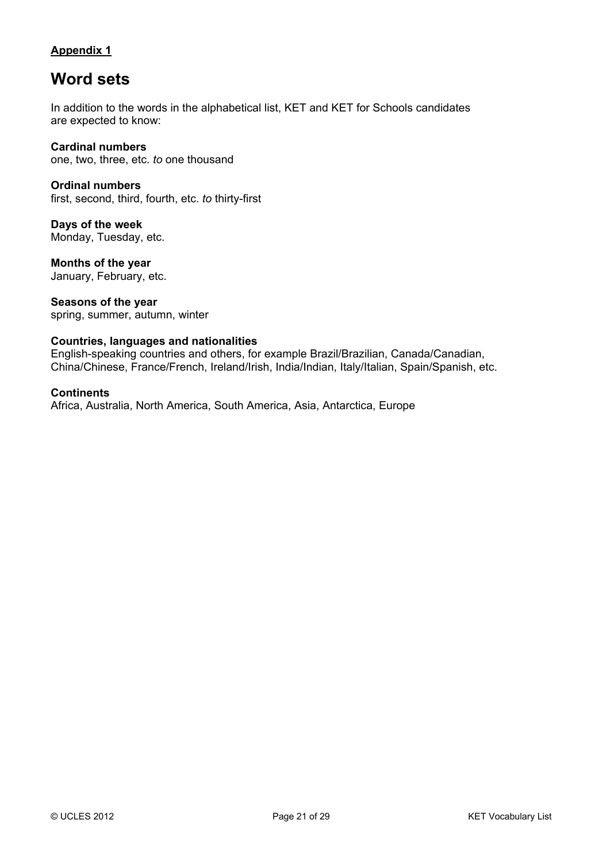#### **Appendix 1**

## **Word sets**

In addition to the words in the alphabetical list, KET and KET for Schools candidates are expected to know:

#### **Cardinal numbers**

one, two, three, etc. *to* one thousand

**Ordinal numbers**  first, second, third, fourth, etc. *to* thirty-first

**Days of the week**  Monday, Tuesday, etc.

**Months of the year**  January, February, etc.

**Seasons of the year**  spring, summer, autumn, winter

#### **Countries, languages and nationalities**

English-speaking countries and others, for example Brazil/Brazilian, Canada/Canadian, China/Chinese, France/French, Ireland/Irish, India/Indian, Italy/Italian, Spain/Spanish, etc.

#### **Continents**

Africa, Australia, North America, South America, Asia, Antarctica, Europe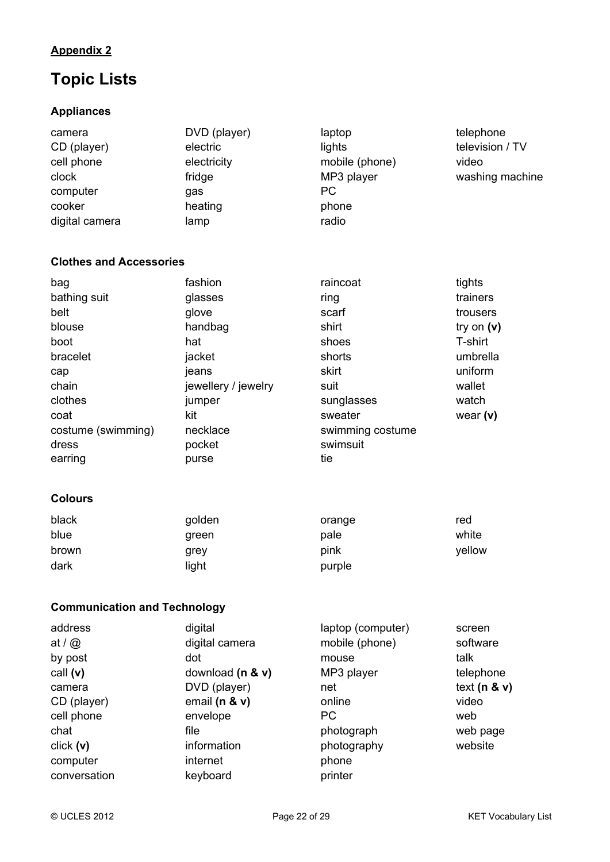#### **Appendix 2**

## **Topic Lists**

## **Appliances**

| camera         | DVD (player) | laptop         | telephone       |
|----------------|--------------|----------------|-----------------|
| CD (player)    | electric     | lights         | television / TV |
| cell phone     | electricity  | mobile (phone) | video           |
| clock          | fridge       | MP3 player     | washing machine |
| computer       | gas          | PC.            |                 |
| cooker         | heating      | phone          |                 |
| digital camera | lamp         | radio          |                 |

#### **Clothes and Accessories**

| bag<br>bathing suit<br>belt<br>blouse<br>boot<br>bracelet                 | fashion<br>glasses<br>glove<br>handbag<br>hat<br>jacket                      | raincoat<br>ring<br>scarf<br>shirt<br>shoes<br>shorts                         | tights<br>trainers<br>trousers<br>try on $(v)$<br>T-shirt<br>umbrella |
|---------------------------------------------------------------------------|------------------------------------------------------------------------------|-------------------------------------------------------------------------------|-----------------------------------------------------------------------|
| cap<br>chain<br>clothes<br>coat<br>costume (swimming)<br>dress<br>earring | jeans<br>jewellery / jewelry<br>jumper<br>kit<br>necklace<br>pocket<br>purse | skirt<br>suit<br>sunglasses<br>sweater<br>swimming costume<br>swimsuit<br>tie | uniform<br>wallet<br>watch<br>wear $(v)$                              |
| <b>Colours</b>                                                            |                                                                              |                                                                               |                                                                       |
| black<br>blue<br>brown<br>dark                                            | golden<br>green<br>grey<br>light                                             | orange<br>pale<br>pink<br>purple                                              | red<br>white<br>yellow                                                |

#### **Communication and Technology**

| digital             | laptop (computer) | screen            |
|---------------------|-------------------|-------------------|
| digital camera      | mobile (phone)    | software          |
| dot                 | mouse             | talk              |
| download (n & v)    | MP3 player        | telephone         |
| DVD (player)        | net               | text ( $n \& v$ ) |
| email ( $n$ & $v$ ) | online            | video             |
| envelope            | PC.               | web               |
| file                | photograph        | web page          |
| information         | photography       | website           |
| internet            | phone             |                   |
| keyboard            | printer           |                   |
|                     |                   |                   |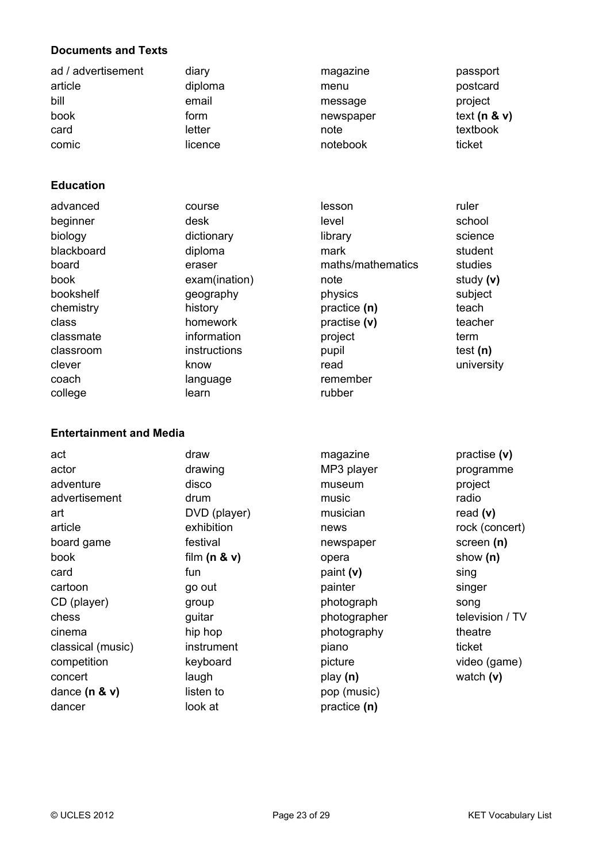#### **Documents and Texts**

| ad / advertisement<br>article<br>bill<br>book<br>card<br>comic                                                                                                                                                      | diary<br>diploma<br>email<br>form<br>letter<br>licence                                                                                                                                                 | magazine<br>menu<br>message<br>newspaper<br>note<br>notebook                                                                                                                                                            | passport<br>postcard<br>project<br>text ( $n \& v$ )<br>textbook<br>ticket                                                                                                                                   |
|---------------------------------------------------------------------------------------------------------------------------------------------------------------------------------------------------------------------|--------------------------------------------------------------------------------------------------------------------------------------------------------------------------------------------------------|-------------------------------------------------------------------------------------------------------------------------------------------------------------------------------------------------------------------------|--------------------------------------------------------------------------------------------------------------------------------------------------------------------------------------------------------------|
| <b>Education</b>                                                                                                                                                                                                    |                                                                                                                                                                                                        |                                                                                                                                                                                                                         |                                                                                                                                                                                                              |
| advanced<br>beginner<br>biology<br>blackboard<br>board<br>book<br>bookshelf<br>chemistry<br>class<br>classmate<br>classroom<br>clever<br>coach<br>college                                                           | course<br>desk<br>dictionary<br>diploma<br>eraser<br>exam(ination)<br>geography<br>history<br>homework<br>information<br>instructions<br>know<br>language<br>learn                                     | lesson<br>level<br>library<br>mark<br>maths/mathematics<br>note<br>physics<br>practice (n)<br>practise (v)<br>project<br>pupil<br>read<br>remember<br>rubber                                                            | ruler<br>school<br>science<br>student<br>studies<br>study (v)<br>subject<br>teach<br>teacher<br>term<br>test $(n)$<br>university                                                                             |
| <b>Entertainment and Media</b>                                                                                                                                                                                      |                                                                                                                                                                                                        |                                                                                                                                                                                                                         |                                                                                                                                                                                                              |
| act<br>actor<br>adventure<br>advertisement<br>art<br>article<br>board game<br>book<br>card<br>cartoon<br>CD (player)<br>chess<br>cinema<br>classical (music)<br>competition<br>concert<br>dance $(n & v)$<br>dancer | draw<br>drawing<br>disco<br>drum<br>DVD (player)<br>exhibition<br>festival<br>film $(n & v)$<br>fun<br>go out<br>group<br>guitar<br>hip hop<br>instrument<br>keyboard<br>laugh<br>listen to<br>look at | magazine<br>MP3 player<br>museum<br>music<br>musician<br>news<br>newspaper<br>opera<br>paint (v)<br>painter<br>photograph<br>photographer<br>photography<br>piano<br>picture<br>play (n)<br>pop (music)<br>practice (n) | practise $(v)$<br>programme<br>project<br>radio<br>read $(v)$<br>rock (concert)<br>screen (n)<br>show $(n)$<br>sing<br>singer<br>song<br>television / TV<br>theatre<br>ticket<br>video (game)<br>watch $(v)$ |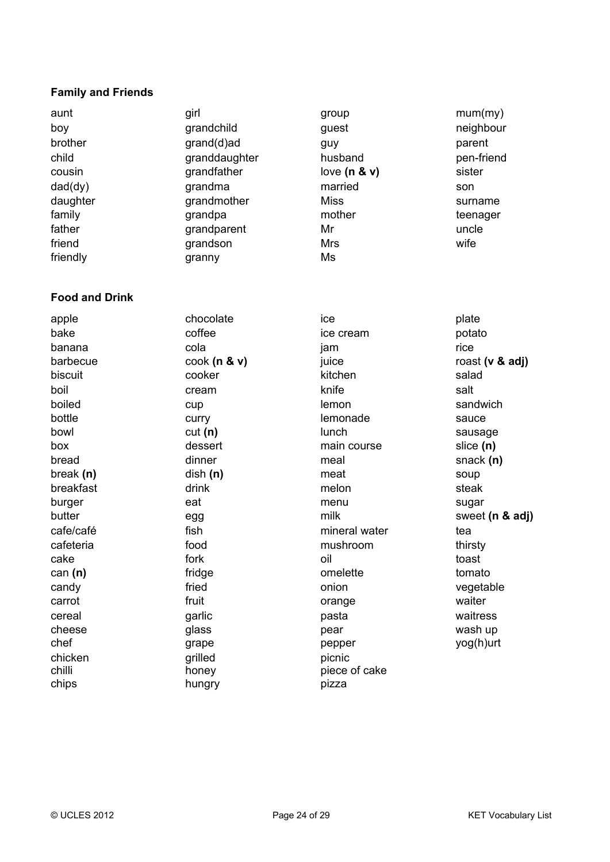## **Family and Friends**

| aunt                  | girl            | group          | mum(my)            |
|-----------------------|-----------------|----------------|--------------------|
| boy                   | grandchild      | guest          | neighbour          |
| brother               | grand(d)ad      | guy            | parent             |
| child                 | granddaughter   | husband        | pen-friend         |
| cousin                | grandfather     | love $(n & v)$ | sister             |
| dad(dy)               | grandma         | married        | son                |
| daughter              | grandmother     | <b>Miss</b>    | surname            |
| family                | grandpa         | mother         | teenager           |
| father                | grandparent     | Mr             | uncle              |
| friend                | grandson        | <b>Mrs</b>     | wife               |
| friendly              | granny          | Ms             |                    |
| <b>Food and Drink</b> |                 |                |                    |
| apple                 | chocolate       | ice            | plate              |
| bake                  | coffee          | ice cream      | potato             |
| banana                | cola            | jam            | rice               |
| barbecue              | $\cosh(n \& v)$ | juice          | roast ( $v$ & adj) |
| biscuit               | cooker          | kitchen        | salad              |
| boil                  | cream           | knife          | salt               |
| boiled                | cup             | lemon          | sandwich           |
| bottle                | curry           | lemonade       | sauce              |
| bowl                  | cut(n)          | lunch          | sausage            |
| box                   | dessert         | main course    | slice (n)          |
| bread                 | dinner          | meal           | snack $(n)$        |
| break $(n)$           | dish(n)         | meat           | soup               |
| breakfast             | drink           | melon          | steak              |
| burger                | eat             | menu           | sugar              |
| butter                | egg             | milk           | sweet (n & adj)    |
| cafe/café             | fish            | mineral water  | tea                |
| cafeteria             | food            | mushroom       | thirsty            |
| cake                  | fork            | oil            | toast              |
| can $(n)$             | fridge          | omelette       | tomato             |
| candy                 | fried           | onion          | vegetable          |
| carrot                | fruit           | orange         | waiter             |
| cereal                | garlic          | pasta          | waitress           |
| cheese                | glass           | pear           | wash up            |
| chef                  | grape           | pepper         | yog(h)urt          |
| chicken               | grilled         | picnic         |                    |
| chilli                | honey           | piece of cake  |                    |
| chips                 | hungry          | pizza          |                    |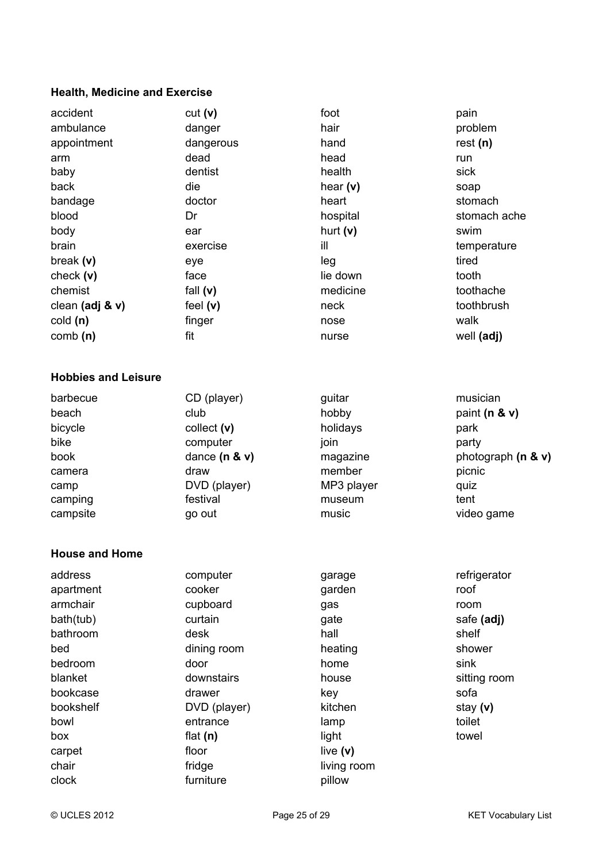#### **Health, Medicine and Exercise**

| accident          | cut (v)    | foot       | pain       |
|-------------------|------------|------------|------------|
| ambulance         | danger     | hair       | problem    |
| appointment       | dangerous  | hand       | rest(n)    |
| arm               | dead       | head       | run        |
| baby              | dentist    | health     | sick       |
| back              | die        | hear $(v)$ | soap       |
| bandage           | doctor     | heart      | stomach    |
| blood             | Dr         | hospital   | stomach a  |
| body              | ear        | hurt $(v)$ | swim       |
| brain             | exercise   | ill        | temperatu  |
| break $(v)$       | eye        | leg        | tired      |
| check (v)         | face       | lie down   | tooth      |
| chemist           | fall $(v)$ | medicine   | toothache  |
| clean (adj $& v)$ | feel $(v)$ | neck       | toothbrush |
| cold (n)          | finger     | nose       | walk       |
| comb(n)           | fit        | nurse      | well (adj) |
|                   |            |            |            |

# dangerous hand rest (n) back die hear **(v)** soap

Dr hospital stomach ache exercise ill ill temperature feel (v) **heel** neck toothbrush

#### **Hobbies and Leisure**

| barbecue | CD (player)     | guitar     | musician             |
|----------|-----------------|------------|----------------------|
| beach    | club            | hobby      | paint ( $n \& v$ )   |
| bicycle  | collect (v)     | holidays   | park                 |
| bike     | computer        | join       | party                |
| book     | dance $(n & v)$ | magazine   | photograph $(n & v)$ |
| camera   | draw            | member     | picnic               |
| camp     | DVD (player)    | MP3 player | quiz                 |
| camping  | festival        | museum     | tent                 |
| campsite | go out          | music      | video game           |

#### **House and Home**

| address   | computer     | garage      | refrigerator |
|-----------|--------------|-------------|--------------|
| apartment | cooker       | garden      | roof         |
| armchair  | cupboard     | gas         | room         |
| bath(tub) | curtain      | gate        | safe (adj)   |
| bathroom  | desk         | hall        | shelf        |
| bed       | dining room  | heating     | shower       |
| bedroom   | door         | home        | sink         |
| blanket   | downstairs   | house       | sitting room |
| bookcase  | drawer       | key         | sofa         |
| bookshelf | DVD (player) | kitchen     | stay $(v)$   |
| bowl      | entrance     | lamp        | toilet       |
| box       | flat $(n)$   | light       | towel        |
| carpet    | floor        | live $(v)$  |              |
| chair     | fridge       | living room |              |
| clock     | furniture    | pillow      |              |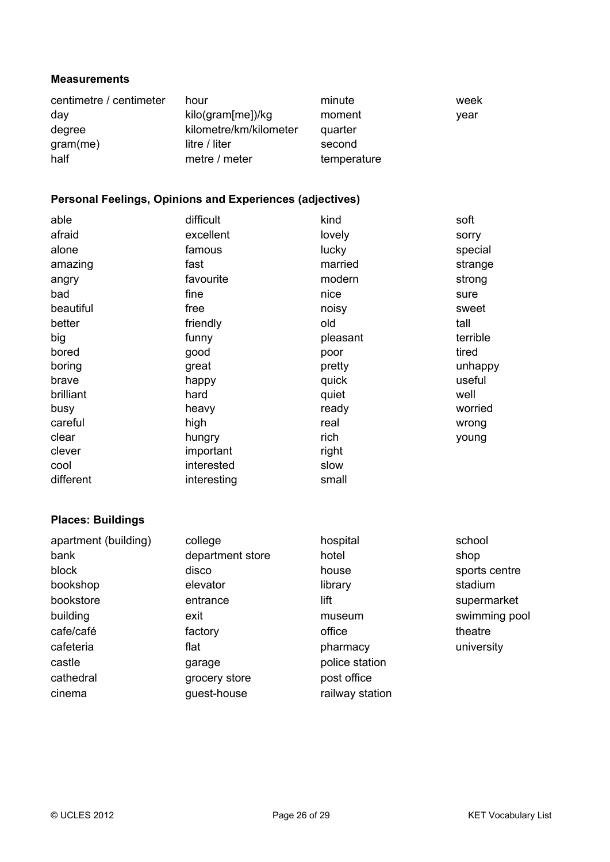#### **Measurements**

| centimetre / centimeter | hour                   | minute      | week |
|-------------------------|------------------------|-------------|------|
| day                     | kilo(gram[me])/kg      | moment      | vear |
| degree                  | kilometre/km/kilometer | quarter     |      |
| $gram$ (me)             | litre / liter          | second      |      |
| half                    | metre / meter          | temperature |      |

#### **Personal Feelings, Opinions and Experiences (adjectives)**

| able                     | difficult        | kind     | soft          |
|--------------------------|------------------|----------|---------------|
| afraid                   | excellent        | lovely   | sorry         |
| alone                    | famous           | lucky    | special       |
| amazing                  | fast             | married  | strange       |
| angry                    | favourite        | modern   | strong        |
| bad                      | fine             | nice     | sure          |
| beautiful                | free             | noisy    | sweet         |
| better                   | friendly         | old      | tall          |
| big                      | funny            | pleasant | terrible      |
| bored                    | good             | poor     | tired         |
| boring                   | great            | pretty   | unhappy       |
| brave                    | happy            | quick    | useful        |
| brilliant                | hard             | quiet    | well          |
| busy                     | heavy            | ready    | worried       |
| careful                  | high             | real     | wrong         |
| clear                    | hungry           | rich     | young         |
| clever                   | important        | right    |               |
| cool                     | interested       | slow     |               |
| different                | interesting      | small    |               |
| <b>Places: Buildings</b> |                  |          |               |
| apartment (building)     | college          | hospital | school        |
| bank                     | department store | hotel    | shop          |
| block                    | disco            | house    | sports centre |
| bookshop                 | elevator         | library  | stadium       |
| bookstore                | entrance         | lift     | supermarket   |
| building                 | exit             | museum   | swimming pool |

cafe/café **factory** factory **office** theatre cafeteria **flat** flat pharmacy university

castle cast garage police station cathedral grocery store post office cinema **guest-house** railway station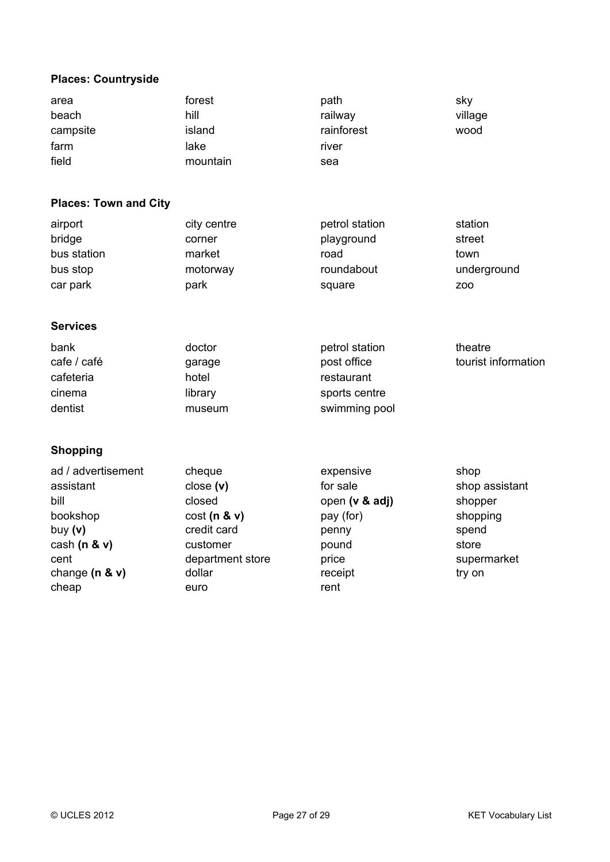#### **Places: Countryside**

| rainforest<br>island<br>farm<br>lake<br>river<br>field<br>mountain<br>sea | beach<br>campsite |  | railway | village<br>wood |
|---------------------------------------------------------------------------|-------------------|--|---------|-----------------|
|---------------------------------------------------------------------------|-------------------|--|---------|-----------------|

## **Places: Town and City**

| airport     | city centre | petrol station | station        |
|-------------|-------------|----------------|----------------|
| bridge      | corner      | playground     | street         |
| bus station | market      | road           | town           |
| bus stop    | motorway    | roundabout     | underground    |
| car park    | park        | square         | Z <sub>0</sub> |

#### **Services**

| bank        | doctor  | petrol station | theatre             |
|-------------|---------|----------------|---------------------|
| cafe / café | garage  | post office    | tourist information |
| cafeteria   | hotel   | restaurant     |                     |
| cinema      | library | sports centre  |                     |
| dentist     | museum  | swimming pool  |                     |

## **Shopping**

| ad / advertisement  | cheque           | expensive        | shop           |
|---------------------|------------------|------------------|----------------|
| assistant           | close $(v)$      | for sale         | shop assistant |
| bill                | closed           | open $(v & adj)$ | shopper        |
| bookshop            | cost(n & v)      | pay (for)        | shopping       |
| buy $(v)$           | credit card      | penny            | spend          |
| cash ( $n$ & $v$ )  | customer         | pound            | store          |
| cent                | department store | price            | supermarket    |
| change ( $n \& v$ ) | dollar           | receipt          | try on         |
| cheap               | euro             | rent             |                |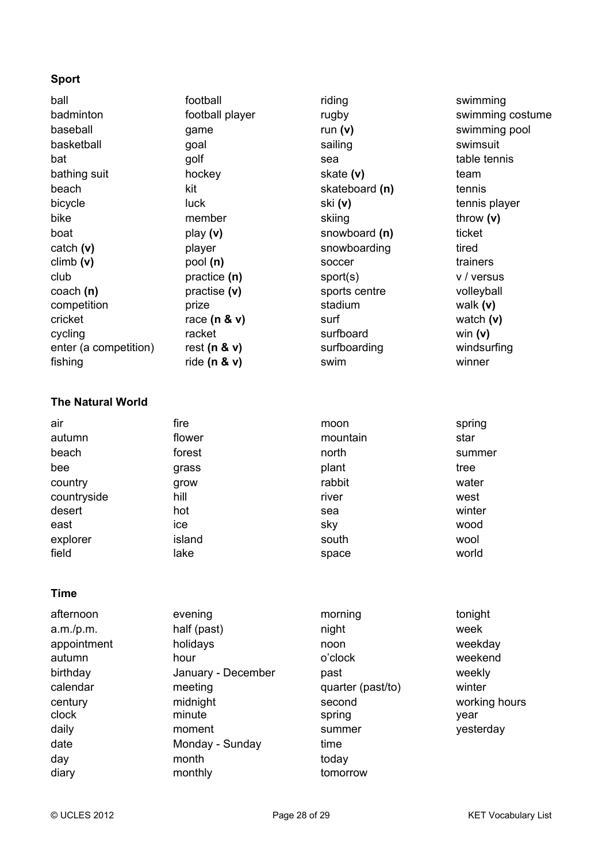#### **Sport**

ball ball football football riding swimming badminton **contract of the football player** rugby **contract and struggler** swimming costume baseball game game run (v) swimming pool basketball sailing sailing swimsuit bat golf golf sea table tennis bathing suit **hockey** skate (v) team beach kit kit skateboard **(n)** tennis bicycle luck luck ski (v) ski (v) tennis player bike member skiing throw (v) boat **play** (v) **boat health play** (v) **boat health health c health health health health health health health health health health health health health health health health healt** catch (v) **player** snowboarding tired climb **(v)** pool **(n)** soccer trainers club practice **(n)** sport(s) v / versus coach (n) **practise (v) practise (v) sports centre** volleyball competition **prize** prize stadium walk (v) cricket race (n & v) **surf** watch (v) cycling and racket surfboard win (v) enter (a competition) rest (n & v) **surfboarding** windsurfing fishing ride (n & v) swim winner

#### **The Natural World**

| air         | fire   | moon     | spring |
|-------------|--------|----------|--------|
| autumn      | flower | mountain | star   |
| beach       | forest | north    | summer |
| bee         | grass  | plant    | tree   |
| country     | grow   | rabbit   | water  |
| countryside | hill   | river    | west   |
| desert      | hot    | sea      | winter |
| east        | ice    | sky      | wood   |
| explorer    | island | south    | wool   |
| field       | lake   | space    | world  |

#### **Time**

| afternoon   | evening            | morning           | tonight       |
|-------------|--------------------|-------------------|---------------|
| a.m./p.m.   | half (past)        | night             | week          |
| appointment | holidays           | noon              | weekday       |
| autumn      | hour               | o'clock           | weekend       |
| birthday    | January - December | past              | weekly        |
| calendar    | meeting            | quarter (past/to) | winter        |
| century     | midnight           | second            | working hours |
| clock       | minute             | spring            | year          |
| daily       | moment             | summer            | yesterday     |
| date        | Monday - Sunday    | time              |               |
| day         | month              | today             |               |
| diary       | monthly            | tomorrow          |               |